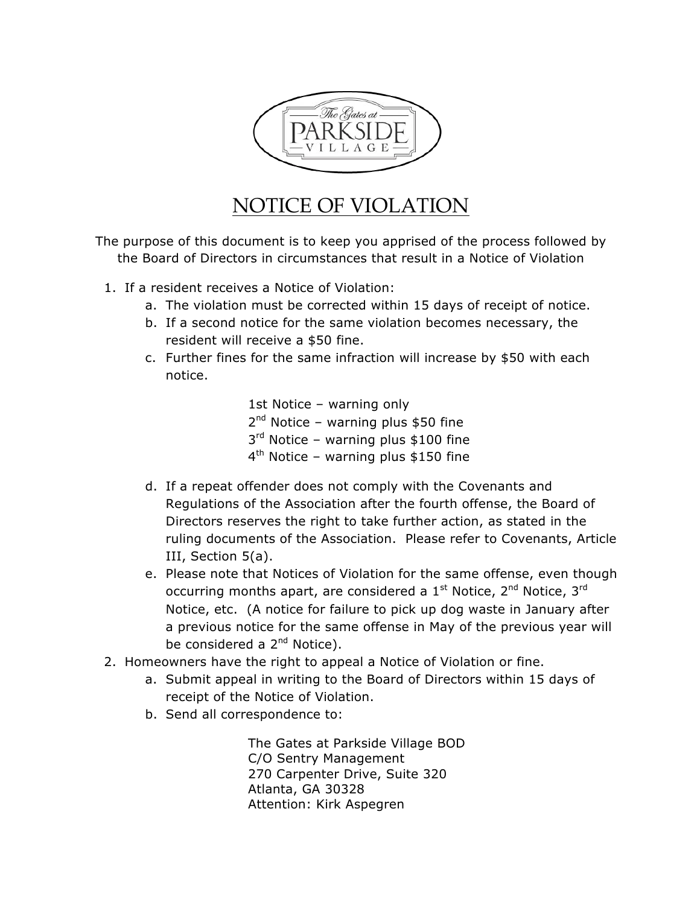

## NOTICE OF VIOLATION

The purpose of this document is to keep you apprised of the process followed by the Board of Directors in circumstances that result in a Notice of Violation

- 1. If a resident receives a Notice of Violation:
	- a. The violation must be corrected within 15 days of receipt of notice.
	- b. If a second notice for the same violation becomes necessary, the resident will receive a \$50 fine.
	- c. Further fines for the same infraction will increase by \$50 with each notice.

1st Notice – warning only  $2<sup>nd</sup>$  Notice – warning plus \$50 fine  $3<sup>rd</sup>$  Notice – warning plus \$100 fine  $4<sup>th</sup>$  Notice – warning plus \$150 fine

- d. If a repeat offender does not comply with the Covenants and Regulations of the Association after the fourth offense, the Board of Directors reserves the right to take further action, as stated in the ruling documents of the Association. Please refer to Covenants, Article III, Section 5(a).
- e. Please note that Notices of Violation for the same offense, even though occurring months apart, are considered a  $1<sup>st</sup>$  Notice,  $2<sup>nd</sup>$  Notice,  $3<sup>rd</sup>$ Notice, etc. (A notice for failure to pick up dog waste in January after a previous notice for the same offense in May of the previous year will be considered a  $2^{nd}$  Notice).
- 2. Homeowners have the right to appeal a Notice of Violation or fine.
	- a. Submit appeal in writing to the Board of Directors within 15 days of receipt of the Notice of Violation.
	- b. Send all correspondence to:

The Gates at Parkside Village BOD C/O Sentry Management 270 Carpenter Drive, Suite 320 Atlanta, GA 30328 Attention: Kirk Aspegren